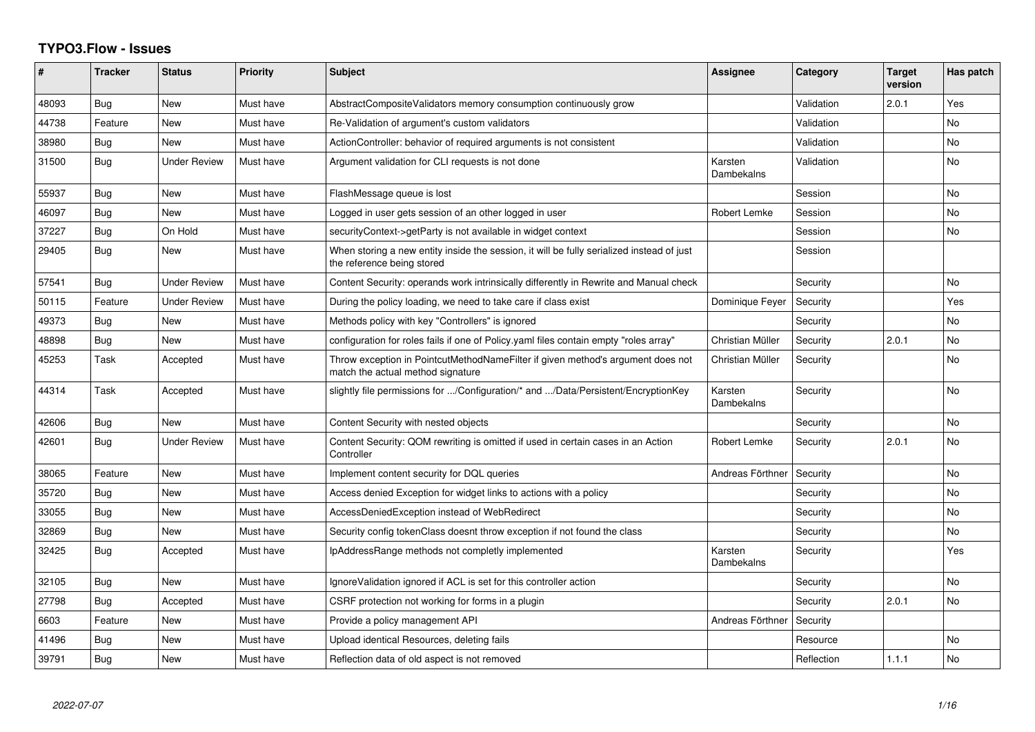## **TYPO3.Flow - Issues**

| ∦     | <b>Tracker</b> | <b>Status</b>       | <b>Priority</b> | <b>Subject</b>                                                                                                          | <b>Assignee</b>       | Category   | <b>Target</b><br>version | Has patch |
|-------|----------------|---------------------|-----------------|-------------------------------------------------------------------------------------------------------------------------|-----------------------|------------|--------------------------|-----------|
| 48093 | Bug            | <b>New</b>          | Must have       | AbstractCompositeValidators memory consumption continuously grow                                                        |                       | Validation | 2.0.1                    | Yes       |
| 44738 | Feature        | <b>New</b>          | Must have       | Re-Validation of argument's custom validators                                                                           |                       | Validation |                          | No        |
| 38980 | Bug            | <b>New</b>          | Must have       | ActionController: behavior of required arguments is not consistent                                                      |                       | Validation |                          | No        |
| 31500 | Bug            | <b>Under Review</b> | Must have       | Argument validation for CLI requests is not done                                                                        | Karsten<br>Dambekalns | Validation |                          | <b>No</b> |
| 55937 | Bug            | <b>New</b>          | Must have       | FlashMessage queue is lost                                                                                              |                       | Session    |                          | <b>No</b> |
| 46097 | Bug            | <b>New</b>          | Must have       | Logged in user gets session of an other logged in user                                                                  | Robert Lemke          | Session    |                          | No        |
| 37227 | Bug            | On Hold             | Must have       | securityContext->getParty is not available in widget context                                                            |                       | Session    |                          | No        |
| 29405 | Bug            | <b>New</b>          | Must have       | When storing a new entity inside the session, it will be fully serialized instead of just<br>the reference being stored |                       | Session    |                          |           |
| 57541 | Bug            | <b>Under Review</b> | Must have       | Content Security: operands work intrinsically differently in Rewrite and Manual check                                   |                       | Security   |                          | <b>No</b> |
| 50115 | Feature        | <b>Under Review</b> | Must have       | During the policy loading, we need to take care if class exist                                                          | Dominique Feyer       | Security   |                          | Yes       |
| 49373 | <b>Bug</b>     | <b>New</b>          | Must have       | Methods policy with key "Controllers" is ignored                                                                        |                       | Security   |                          | No        |
| 48898 | Bug            | New                 | Must have       | configuration for roles fails if one of Policy yaml files contain empty "roles array"                                   | Christian Müller      | Security   | 2.0.1                    | No        |
| 45253 | Task           | Accepted            | Must have       | Throw exception in PointcutMethodNameFilter if given method's argument does not<br>match the actual method signature    | Christian Müller      | Security   |                          | No        |
| 44314 | Task           | Accepted            | Must have       | slightly file permissions for /Configuration/* and /Data/Persistent/EncryptionKey                                       | Karsten<br>Dambekalns | Security   |                          | <b>No</b> |
| 42606 | Bug            | <b>New</b>          | Must have       | Content Security with nested objects                                                                                    |                       | Security   |                          | No        |
| 42601 | <b>Bug</b>     | <b>Under Review</b> | Must have       | Content Security: QOM rewriting is omitted if used in certain cases in an Action<br>Controller                          | <b>Robert Lemke</b>   | Security   | 2.0.1                    | No        |
| 38065 | Feature        | <b>New</b>          | Must have       | Implement content security for DQL queries                                                                              | Andreas Förthner      | Security   |                          | No        |
| 35720 | Bug            | <b>New</b>          | Must have       | Access denied Exception for widget links to actions with a policy                                                       |                       | Security   |                          | No        |
| 33055 | Bug            | <b>New</b>          | Must have       | AccessDeniedException instead of WebRedirect                                                                            |                       | Security   |                          | No        |
| 32869 | Bug            | <b>New</b>          | Must have       | Security config tokenClass doesnt throw exception if not found the class                                                |                       | Security   |                          | No        |
| 32425 | Bug            | Accepted            | Must have       | IpAddressRange methods not completly implemented                                                                        | Karsten<br>Dambekalns | Security   |                          | Yes       |
| 32105 | Bug            | <b>New</b>          | Must have       | Ignore Validation ignored if ACL is set for this controller action                                                      |                       | Security   |                          | <b>No</b> |
| 27798 | Bug            | Accepted            | Must have       | CSRF protection not working for forms in a plugin                                                                       |                       | Security   | 2.0.1                    | <b>No</b> |
| 6603  | Feature        | <b>New</b>          | Must have       | Provide a policy management API                                                                                         | Andreas Förthner      | Security   |                          |           |
| 41496 | Bug            | New                 | Must have       | Upload identical Resources, deleting fails                                                                              |                       | Resource   |                          | No        |
| 39791 | Bug            | <b>New</b>          | Must have       | Reflection data of old aspect is not removed                                                                            |                       | Reflection | 1.1.1                    | No        |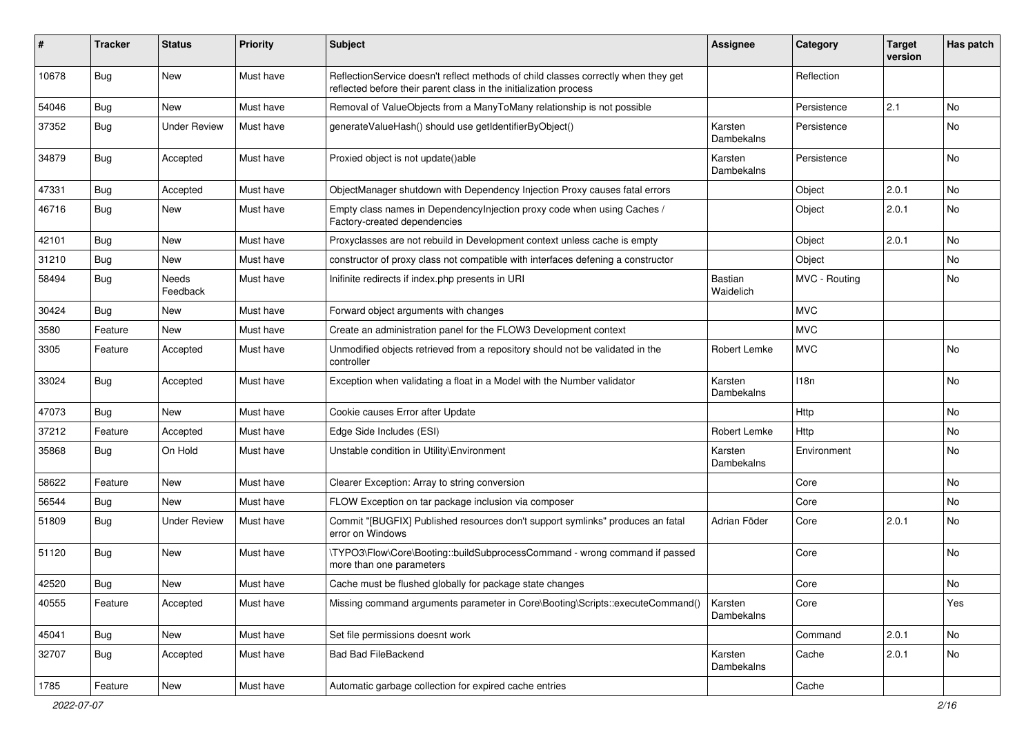| #     | <b>Tracker</b> | <b>Status</b>       | <b>Priority</b> | <b>Subject</b>                                                                                                                                          | <b>Assignee</b>             | Category      | <b>Target</b><br>version | Has patch |
|-------|----------------|---------------------|-----------------|---------------------------------------------------------------------------------------------------------------------------------------------------------|-----------------------------|---------------|--------------------------|-----------|
| 10678 | <b>Bug</b>     | New                 | Must have       | ReflectionService doesn't reflect methods of child classes correctly when they get<br>reflected before their parent class in the initialization process |                             | Reflection    |                          |           |
| 54046 | Bug            | New                 | Must have       | Removal of ValueObjects from a ManyToMany relationship is not possible                                                                                  |                             | Persistence   | 2.1                      | No        |
| 37352 | <b>Bug</b>     | <b>Under Review</b> | Must have       | generateValueHash() should use getIdentifierByObject()                                                                                                  | Karsten<br>Dambekalns       | Persistence   |                          | No        |
| 34879 | <b>Bug</b>     | Accepted            | Must have       | Proxied object is not update()able                                                                                                                      | Karsten<br>Dambekalns       | Persistence   |                          | <b>No</b> |
| 47331 | <b>Bug</b>     | Accepted            | Must have       | ObjectManager shutdown with Dependency Injection Proxy causes fatal errors                                                                              |                             | Object        | 2.0.1                    | No        |
| 46716 | <b>Bug</b>     | New                 | Must have       | Empty class names in Dependencylnjection proxy code when using Caches /<br>Factory-created dependencies                                                 |                             | Object        | 2.0.1                    | <b>No</b> |
| 42101 | Bug            | New                 | Must have       | Proxyclasses are not rebuild in Development context unless cache is empty                                                                               |                             | Object        | 2.0.1                    | No.       |
| 31210 | Bug            | New                 | Must have       | constructor of proxy class not compatible with interfaces defening a constructor                                                                        |                             | Object        |                          | No        |
| 58494 | Bug            | Needs<br>Feedback   | Must have       | Inifinite redirects if index.php presents in URI                                                                                                        | <b>Bastian</b><br>Waidelich | MVC - Routing |                          | No        |
| 30424 | <b>Bug</b>     | <b>New</b>          | Must have       | Forward object arguments with changes                                                                                                                   |                             | <b>MVC</b>    |                          |           |
| 3580  | Feature        | New                 | Must have       | Create an administration panel for the FLOW3 Development context                                                                                        |                             | <b>MVC</b>    |                          |           |
| 3305  | Feature        | Accepted            | Must have       | Unmodified objects retrieved from a repository should not be validated in the<br>controller                                                             | Robert Lemke                | <b>MVC</b>    |                          | No        |
| 33024 | Bug            | Accepted            | Must have       | Exception when validating a float in a Model with the Number validator                                                                                  | Karsten<br>Dambekalns       | 118n          |                          | <b>No</b> |
| 47073 | Bug            | <b>New</b>          | Must have       | Cookie causes Error after Update                                                                                                                        |                             | Http          |                          | No.       |
| 37212 | Feature        | Accepted            | Must have       | Edge Side Includes (ESI)                                                                                                                                | Robert Lemke                | Http          |                          | No        |
| 35868 | Bug            | On Hold             | Must have       | Unstable condition in Utility\Environment                                                                                                               | Karsten<br>Dambekalns       | Environment   |                          | No        |
| 58622 | Feature        | New                 | Must have       | Clearer Exception: Array to string conversion                                                                                                           |                             | Core          |                          | No.       |
| 56544 | <b>Bug</b>     | New                 | Must have       | FLOW Exception on tar package inclusion via composer                                                                                                    |                             | Core          |                          | No        |
| 51809 | Bug            | <b>Under Review</b> | Must have       | Commit "[BUGFIX] Published resources don't support symlinks" produces an fatal<br>error on Windows                                                      | Adrian Föder                | Core          | 2.0.1                    | No        |
| 51120 | Bug            | New                 | Must have       | \TYPO3\Flow\Core\Booting::buildSubprocessCommand - wrong command if passed<br>more than one parameters                                                  |                             | Core          |                          | <b>No</b> |
| 42520 | Bug            | New                 | Must have       | Cache must be flushed globally for package state changes                                                                                                |                             | Core          |                          | No        |
| 40555 | Feature        | Accepted            | Must have       | Missing command arguments parameter in Core\Booting\Scripts::executeCommand()                                                                           | Karsten<br>Dambekalns       | Core          |                          | Yes       |
| 45041 | Bug            | New                 | Must have       | Set file permissions doesnt work                                                                                                                        |                             | Command       | 2.0.1                    | No        |
| 32707 | Bug            | Accepted            | Must have       | Bad Bad FileBackend                                                                                                                                     | Karsten<br>Dambekalns       | Cache         | 2.0.1                    | No        |
| 1785  | Feature        | New                 | Must have       | Automatic garbage collection for expired cache entries                                                                                                  |                             | Cache         |                          |           |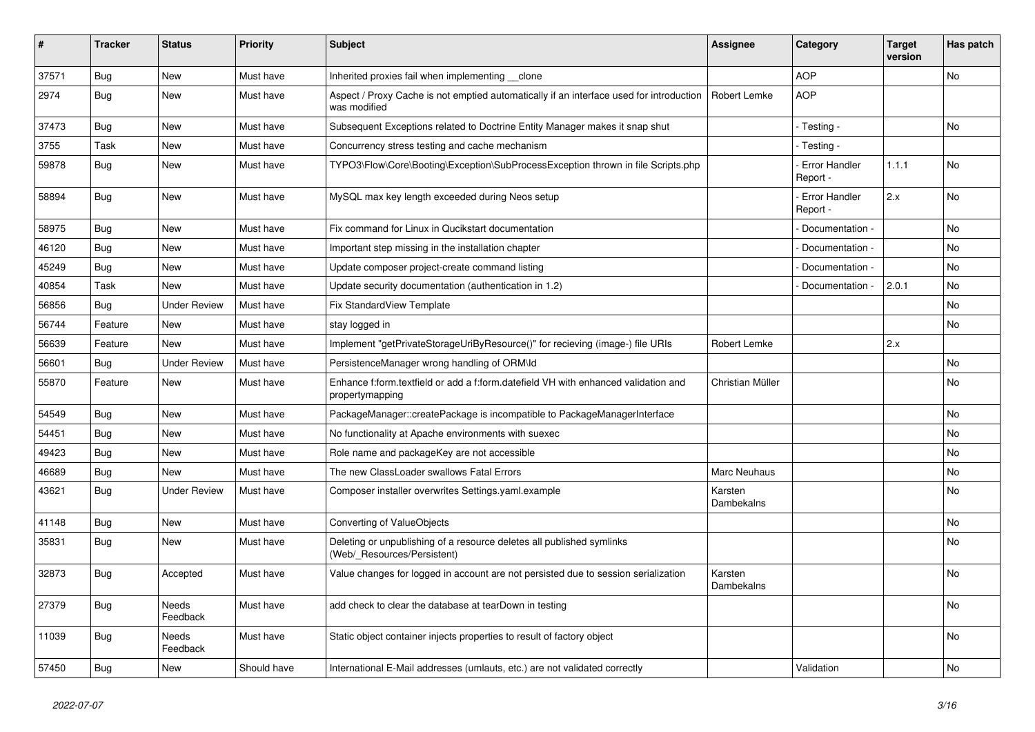| #     | <b>Tracker</b> | <b>Status</b>            | <b>Priority</b> | <b>Subject</b>                                                                                          | <b>Assignee</b>       | Category                         | <b>Target</b><br>version | Has patch |
|-------|----------------|--------------------------|-----------------|---------------------------------------------------------------------------------------------------------|-----------------------|----------------------------------|--------------------------|-----------|
| 37571 | Bug            | <b>New</b>               | Must have       | Inherited proxies fail when implementing clone                                                          |                       | <b>AOP</b>                       |                          | <b>No</b> |
| 2974  | Bug            | <b>New</b>               | Must have       | Aspect / Proxy Cache is not emptied automatically if an interface used for introduction<br>was modified | Robert Lemke          | <b>AOP</b>                       |                          |           |
| 37473 | Bug            | <b>New</b>               | Must have       | Subsequent Exceptions related to Doctrine Entity Manager makes it snap shut                             |                       | - Testing -                      |                          | No        |
| 3755  | Task           | <b>New</b>               | Must have       | Concurrency stress testing and cache mechanism                                                          |                       | - Testing -                      |                          |           |
| 59878 | Bug            | <b>New</b>               | Must have       | TYPO3\Flow\Core\Booting\Exception\SubProcessException thrown in file Scripts.php                        |                       | Error Handler<br>Report -        | 1.1.1                    | <b>No</b> |
| 58894 | Bug            | New                      | Must have       | MySQL max key length exceeded during Neos setup                                                         |                       | <b>Error Handler</b><br>Report - | 2.x                      | No        |
| 58975 | Bug            | <b>New</b>               | Must have       | Fix command for Linux in Qucikstart documentation                                                       |                       | Documentation -                  |                          | No        |
| 46120 | <b>Bug</b>     | <b>New</b>               | Must have       | Important step missing in the installation chapter                                                      |                       | Documentation -                  |                          | No        |
| 45249 | Bug            | <b>New</b>               | Must have       | Update composer project-create command listing                                                          |                       | Documentation -                  |                          | No        |
| 40854 | Task           | <b>New</b>               | Must have       | Update security documentation (authentication in 1.2)                                                   |                       | Documentation -                  | 2.0.1                    | No        |
| 56856 | Bug            | <b>Under Review</b>      | Must have       | Fix StandardView Template                                                                               |                       |                                  |                          | <b>No</b> |
| 56744 | Feature        | <b>New</b>               | Must have       | stay logged in                                                                                          |                       |                                  |                          | <b>No</b> |
| 56639 | Feature        | <b>New</b>               | Must have       | Implement "getPrivateStorageUriByResource()" for recieving (image-) file URIs                           | Robert Lemke          |                                  | 2.x                      |           |
| 56601 | Bug            | <b>Under Review</b>      | Must have       | PersistenceManager wrong handling of ORM\ld                                                             |                       |                                  |                          | <b>No</b> |
| 55870 | Feature        | <b>New</b>               | Must have       | Enhance f:form.textfield or add a f:form.datefield VH with enhanced validation and<br>propertymapping   | Christian Müller      |                                  |                          | <b>No</b> |
| 54549 | Bug            | <b>New</b>               | Must have       | PackageManager::createPackage is incompatible to PackageManagerInterface                                |                       |                                  |                          | No        |
| 54451 | Bug            | <b>New</b>               | Must have       | No functionality at Apache environments with suexec                                                     |                       |                                  |                          | No        |
| 49423 | Bug            | <b>New</b>               | Must have       | Role name and packageKey are not accessible                                                             |                       |                                  |                          | No        |
| 46689 | Bug            | <b>New</b>               | Must have       | The new ClassLoader swallows Fatal Errors                                                               | Marc Neuhaus          |                                  |                          | No        |
| 43621 | Bug            | <b>Under Review</b>      | Must have       | Composer installer overwrites Settings yaml.example                                                     | Karsten<br>Dambekalns |                                  |                          | No        |
| 41148 | <b>Bug</b>     | <b>New</b>               | Must have       | Converting of ValueObjects                                                                              |                       |                                  |                          | <b>No</b> |
| 35831 | <b>Bug</b>     | <b>New</b>               | Must have       | Deleting or unpublishing of a resource deletes all published symlinks<br>(Web/ Resources/Persistent)    |                       |                                  |                          | No        |
| 32873 | Bug            | Accepted                 | Must have       | Value changes for logged in account are not persisted due to session serialization                      | Karsten<br>Dambekalns |                                  |                          | No        |
| 27379 | Bug            | Needs<br>Feedback        | Must have       | add check to clear the database at tearDown in testing                                                  |                       |                                  |                          | No        |
| 11039 | Bug            | <b>Needs</b><br>Feedback | Must have       | Static object container injects properties to result of factory object                                  |                       |                                  |                          | <b>No</b> |
| 57450 | <b>Bug</b>     | <b>New</b>               | Should have     | International E-Mail addresses (umlauts, etc.) are not validated correctly                              |                       | Validation                       |                          | No        |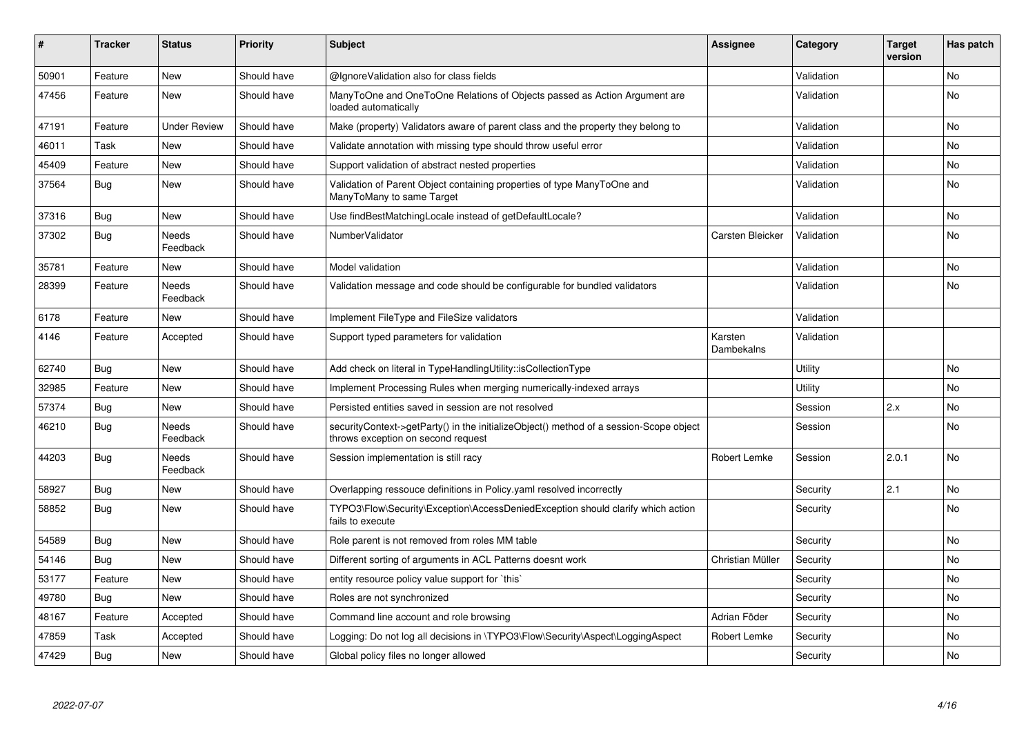| #     | <b>Tracker</b> | <b>Status</b>            | <b>Priority</b> | <b>Subject</b>                                                                                                               | Assignee              | Category   | <b>Target</b><br>version | Has patch |
|-------|----------------|--------------------------|-----------------|------------------------------------------------------------------------------------------------------------------------------|-----------------------|------------|--------------------------|-----------|
| 50901 | Feature        | <b>New</b>               | Should have     | @IgnoreValidation also for class fields                                                                                      |                       | Validation |                          | <b>No</b> |
| 47456 | Feature        | New                      | Should have     | ManyToOne and OneToOne Relations of Objects passed as Action Argument are<br>loaded automatically                            |                       | Validation |                          | No        |
| 47191 | Feature        | <b>Under Review</b>      | Should have     | Make (property) Validators aware of parent class and the property they belong to                                             |                       | Validation |                          | <b>No</b> |
| 46011 | Task           | New                      | Should have     | Validate annotation with missing type should throw useful error                                                              |                       | Validation |                          | <b>No</b> |
| 45409 | Feature        | New                      | Should have     | Support validation of abstract nested properties                                                                             |                       | Validation |                          | No        |
| 37564 | <b>Bug</b>     | New                      | Should have     | Validation of Parent Object containing properties of type ManyToOne and<br>ManyToMany to same Target                         |                       | Validation |                          | No        |
| 37316 | <b>Bug</b>     | New                      | Should have     | Use findBestMatchingLocale instead of getDefaultLocale?                                                                      |                       | Validation |                          | No        |
| 37302 | <b>Bug</b>     | <b>Needs</b><br>Feedback | Should have     | NumberValidator                                                                                                              | Carsten Bleicker      | Validation |                          | <b>No</b> |
| 35781 | Feature        | <b>New</b>               | Should have     | Model validation                                                                                                             |                       | Validation |                          | No        |
| 28399 | Feature        | Needs<br>Feedback        | Should have     | Validation message and code should be configurable for bundled validators                                                    |                       | Validation |                          | No        |
| 6178  | Feature        | <b>New</b>               | Should have     | Implement FileType and FileSize validators                                                                                   |                       | Validation |                          |           |
| 4146  | Feature        | Accepted                 | Should have     | Support typed parameters for validation                                                                                      | Karsten<br>Dambekalns | Validation |                          |           |
| 62740 | <b>Bug</b>     | New                      | Should have     | Add check on literal in TypeHandlingUtility::isCollectionType                                                                |                       | Utility    |                          | No        |
| 32985 | Feature        | New                      | Should have     | Implement Processing Rules when merging numerically-indexed arrays                                                           |                       | Utility    |                          | No        |
| 57374 | <b>Bug</b>     | <b>New</b>               | Should have     | Persisted entities saved in session are not resolved                                                                         |                       | Session    | 2.x                      | <b>No</b> |
| 46210 | Bug            | Needs<br>Feedback        | Should have     | securityContext->getParty() in the initializeObject() method of a session-Scope object<br>throws exception on second request |                       | Session    |                          | No        |
| 44203 | <b>Bug</b>     | Needs<br>Feedback        | Should have     | Session implementation is still racy                                                                                         | Robert Lemke          | Session    | 2.0.1                    | No        |
| 58927 | <b>Bug</b>     | <b>New</b>               | Should have     | Overlapping ressouce definitions in Policy yaml resolved incorrectly                                                         |                       | Security   | 2.1                      | No        |
| 58852 | Bug            | New                      | Should have     | TYPO3\Flow\Security\Exception\AccessDeniedException should clarify which action<br>fails to execute                          |                       | Security   |                          | <b>No</b> |
| 54589 | Bug            | New                      | Should have     | Role parent is not removed from roles MM table                                                                               |                       | Security   |                          | No        |
| 54146 | Bug            | <b>New</b>               | Should have     | Different sorting of arguments in ACL Patterns doesnt work                                                                   | Christian Müller      | Security   |                          | No        |
| 53177 | Feature        | <b>New</b>               | Should have     | entity resource policy value support for `this`                                                                              |                       | Security   |                          | No        |
| 49780 | Bug            | <b>New</b>               | Should have     | Roles are not synchronized                                                                                                   |                       | Security   |                          | No        |
| 48167 | Feature        | Accepted                 | Should have     | Command line account and role browsing                                                                                       | Adrian Föder          | Security   |                          | <b>No</b> |
| 47859 | Task           | Accepted                 | Should have     | Logging: Do not log all decisions in \TYPO3\Flow\Security\Aspect\LoggingAspect                                               | Robert Lemke          | Security   |                          | No        |
| 47429 | Bug            | <b>New</b>               | Should have     | Global policy files no longer allowed                                                                                        |                       | Security   |                          | <b>No</b> |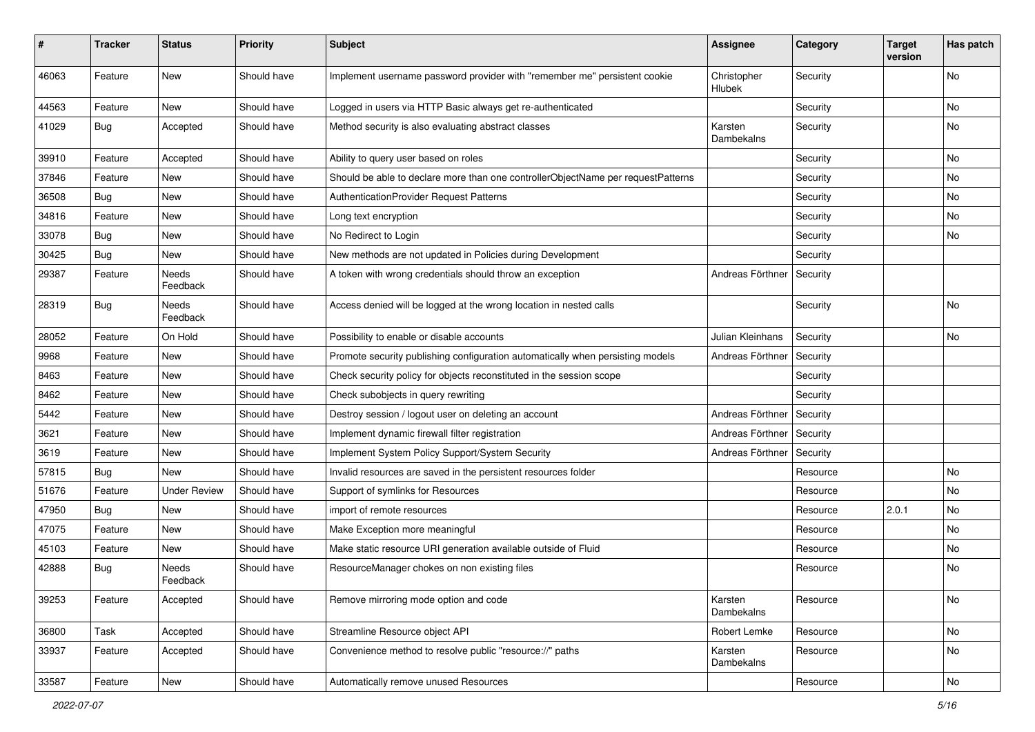| #     | <b>Tracker</b> | <b>Status</b>            | <b>Priority</b> | <b>Subject</b>                                                                   | <b>Assignee</b>       | Category | <b>Target</b><br>version | Has patch |
|-------|----------------|--------------------------|-----------------|----------------------------------------------------------------------------------|-----------------------|----------|--------------------------|-----------|
| 46063 | Feature        | New                      | Should have     | Implement username password provider with "remember me" persistent cookie        | Christopher<br>Hlubek | Security |                          | No        |
| 44563 | Feature        | New                      | Should have     | Logged in users via HTTP Basic always get re-authenticated                       |                       | Security |                          | No.       |
| 41029 | <b>Bug</b>     | Accepted                 | Should have     | Method security is also evaluating abstract classes                              | Karsten<br>Dambekalns | Security |                          | No        |
| 39910 | Feature        | Accepted                 | Should have     | Ability to query user based on roles                                             |                       | Security |                          | No        |
| 37846 | Feature        | <b>New</b>               | Should have     | Should be able to declare more than one controllerObjectName per requestPatterns |                       | Security |                          | No        |
| 36508 | <b>Bug</b>     | <b>New</b>               | Should have     | AuthenticationProvider Request Patterns                                          |                       | Security |                          | No        |
| 34816 | Feature        | New                      | Should have     | Long text encryption                                                             |                       | Security |                          | No.       |
| 33078 | <b>Bug</b>     | New                      | Should have     | No Redirect to Login                                                             |                       | Security |                          | No        |
| 30425 | Bug            | New                      | Should have     | New methods are not updated in Policies during Development                       |                       | Security |                          |           |
| 29387 | Feature        | <b>Needs</b><br>Feedback | Should have     | A token with wrong credentials should throw an exception                         | Andreas Förthner      | Security |                          |           |
| 28319 | <b>Bug</b>     | Needs<br>Feedback        | Should have     | Access denied will be logged at the wrong location in nested calls               |                       | Security |                          | <b>No</b> |
| 28052 | Feature        | On Hold                  | Should have     | Possibility to enable or disable accounts                                        | Julian Kleinhans      | Security |                          | No        |
| 9968  | Feature        | New                      | Should have     | Promote security publishing configuration automatically when persisting models   | Andreas Förthner      | Security |                          |           |
| 8463  | Feature        | New                      | Should have     | Check security policy for objects reconstituted in the session scope             |                       | Security |                          |           |
| 8462  | Feature        | New                      | Should have     | Check subobjects in query rewriting                                              |                       | Security |                          |           |
| 5442  | Feature        | New                      | Should have     | Destroy session / logout user on deleting an account                             | Andreas Förthner      | Security |                          |           |
| 3621  | Feature        | New                      | Should have     | Implement dynamic firewall filter registration                                   | Andreas Förthner      | Security |                          |           |
| 3619  | Feature        | <b>New</b>               | Should have     | Implement System Policy Support/System Security                                  | Andreas Förthner      | Security |                          |           |
| 57815 | <b>Bug</b>     | New                      | Should have     | Invalid resources are saved in the persistent resources folder                   |                       | Resource |                          | No        |
| 51676 | Feature        | <b>Under Review</b>      | Should have     | Support of symlinks for Resources                                                |                       | Resource |                          | No        |
| 47950 | Bug            | <b>New</b>               | Should have     | import of remote resources                                                       |                       | Resource | 2.0.1                    | No        |
| 47075 | Feature        | New                      | Should have     | Make Exception more meaningful                                                   |                       | Resource |                          | No        |
| 45103 | Feature        | New                      | Should have     | Make static resource URI generation available outside of Fluid                   |                       | Resource |                          | No        |
| 42888 | <b>Bug</b>     | Needs<br>Feedback        | Should have     | ResourceManager chokes on non existing files                                     |                       | Resource |                          | No        |
| 39253 | Feature        | Accepted                 | Should have     | Remove mirroring mode option and code                                            | Karsten<br>Dambekalns | Resource |                          | No        |
| 36800 | Task           | Accepted                 | Should have     | Streamline Resource object API                                                   | Robert Lemke          | Resource |                          | No        |
| 33937 | Feature        | Accepted                 | Should have     | Convenience method to resolve public "resource://" paths                         | Karsten<br>Dambekalns | Resource |                          | No        |
| 33587 | Feature        | New                      | Should have     | Automatically remove unused Resources                                            |                       | Resource |                          | No        |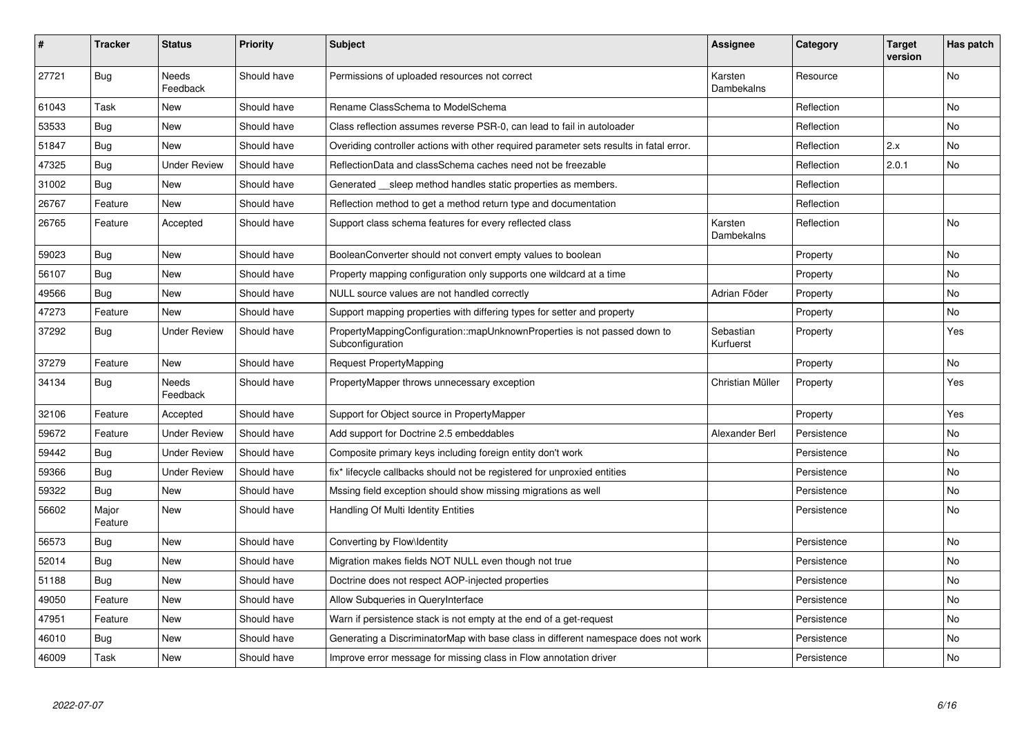| $\pmb{\#}$ | <b>Tracker</b>   | <b>Status</b>            | <b>Priority</b> | <b>Subject</b>                                                                               | <b>Assignee</b>        | Category    | Target<br>version | Has patch      |
|------------|------------------|--------------------------|-----------------|----------------------------------------------------------------------------------------------|------------------------|-------------|-------------------|----------------|
| 27721      | <b>Bug</b>       | Needs<br>Feedback        | Should have     | Permissions of uploaded resources not correct                                                | Karsten<br>Dambekalns  | Resource    |                   | <b>No</b>      |
| 61043      | Task             | New                      | Should have     | Rename ClassSchema to ModelSchema                                                            |                        | Reflection  |                   | No             |
| 53533      | <b>Bug</b>       | <b>New</b>               | Should have     | Class reflection assumes reverse PSR-0, can lead to fail in autoloader                       |                        | Reflection  |                   | <b>No</b>      |
| 51847      | <b>Bug</b>       | New                      | Should have     | Overiding controller actions with other required parameter sets results in fatal error.      |                        | Reflection  | 2.x               | No             |
| 47325      | Bug              | <b>Under Review</b>      | Should have     | ReflectionData and classSchema caches need not be freezable                                  |                        | Reflection  | 2.0.1             | N <sub>o</sub> |
| 31002      | <b>Bug</b>       | <b>New</b>               | Should have     | Generated __sleep method handles static properties as members.                               |                        | Reflection  |                   |                |
| 26767      | Feature          | <b>New</b>               | Should have     | Reflection method to get a method return type and documentation                              |                        | Reflection  |                   |                |
| 26765      | Feature          | Accepted                 | Should have     | Support class schema features for every reflected class                                      | Karsten<br>Dambekalns  | Reflection  |                   | No             |
| 59023      | Bug              | New                      | Should have     | BooleanConverter should not convert empty values to boolean                                  |                        | Property    |                   | No             |
| 56107      | Bug              | <b>New</b>               | Should have     | Property mapping configuration only supports one wildcard at a time                          |                        | Property    |                   | No             |
| 49566      | <b>Bug</b>       | <b>New</b>               | Should have     | NULL source values are not handled correctly                                                 | Adrian Föder           | Property    |                   | No             |
| 47273      | Feature          | <b>New</b>               | Should have     | Support mapping properties with differing types for setter and property                      |                        | Property    |                   | No             |
| 37292      | <b>Bug</b>       | <b>Under Review</b>      | Should have     | PropertyMappingConfiguration::mapUnknownProperties is not passed down to<br>Subconfiguration | Sebastian<br>Kurfuerst | Property    |                   | Yes            |
| 37279      | Feature          | <b>New</b>               | Should have     | <b>Request PropertyMapping</b>                                                               |                        | Property    |                   | No             |
| 34134      | Bug              | <b>Needs</b><br>Feedback | Should have     | PropertyMapper throws unnecessary exception                                                  | Christian Müller       | Property    |                   | Yes            |
| 32106      | Feature          | Accepted                 | Should have     | Support for Object source in PropertyMapper                                                  |                        | Property    |                   | Yes            |
| 59672      | Feature          | <b>Under Review</b>      | Should have     | Add support for Doctrine 2.5 embeddables                                                     | Alexander Berl         | Persistence |                   | No             |
| 59442      | Bug              | <b>Under Review</b>      | Should have     | Composite primary keys including foreign entity don't work                                   |                        | Persistence |                   | No             |
| 59366      | <b>Bug</b>       | <b>Under Review</b>      | Should have     | fix* lifecycle callbacks should not be registered for unproxied entities                     |                        | Persistence |                   | No             |
| 59322      | <b>Bug</b>       | <b>New</b>               | Should have     | Mssing field exception should show missing migrations as well                                |                        | Persistence |                   | No             |
| 56602      | Major<br>Feature | <b>New</b>               | Should have     | Handling Of Multi Identity Entities                                                          |                        | Persistence |                   | <b>No</b>      |
| 56573      | <b>Bug</b>       | <b>New</b>               | Should have     | Converting by Flow\Identity                                                                  |                        | Persistence |                   | <b>No</b>      |
| 52014      | Bug              | New                      | Should have     | Migration makes fields NOT NULL even though not true                                         |                        | Persistence |                   | No             |
| 51188      | <b>Bug</b>       | <b>New</b>               | Should have     | Doctrine does not respect AOP-injected properties                                            |                        | Persistence |                   | <b>No</b>      |
| 49050      | Feature          | New                      | Should have     | Allow Subqueries in QueryInterface                                                           |                        | Persistence |                   | No             |
| 47951      | Feature          | <b>New</b>               | Should have     | Warn if persistence stack is not empty at the end of a get-request                           |                        | Persistence |                   | <b>No</b>      |
| 46010      | <b>Bug</b>       | New                      | Should have     | Generating a DiscriminatorMap with base class in different namespace does not work           |                        | Persistence |                   | No             |
| 46009      | Task             | <b>New</b>               | Should have     | Improve error message for missing class in Flow annotation driver                            |                        | Persistence |                   | No             |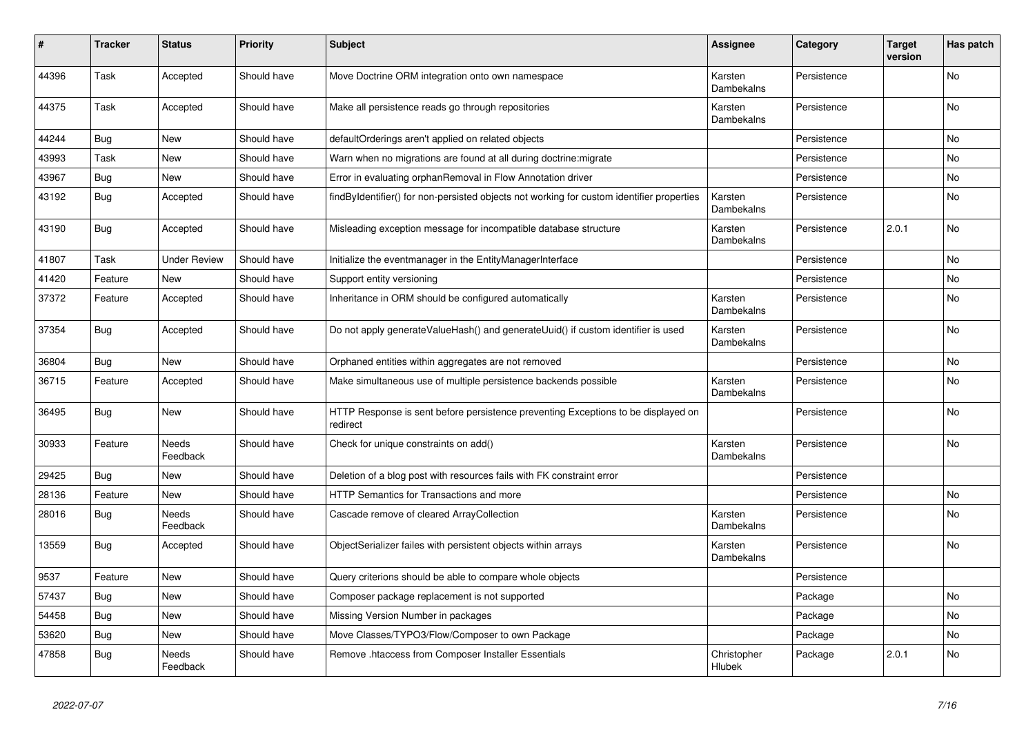| #     | <b>Tracker</b> | <b>Status</b>            | <b>Priority</b> | <b>Subject</b>                                                                                | <b>Assignee</b>       | Category    | <b>Target</b><br>version | Has patch      |
|-------|----------------|--------------------------|-----------------|-----------------------------------------------------------------------------------------------|-----------------------|-------------|--------------------------|----------------|
| 44396 | Task           | Accepted                 | Should have     | Move Doctrine ORM integration onto own namespace                                              | Karsten<br>Dambekalns | Persistence |                          | <b>No</b>      |
| 44375 | Task           | Accepted                 | Should have     | Make all persistence reads go through repositories                                            | Karsten<br>Dambekalns | Persistence |                          | <b>No</b>      |
| 44244 | Bug            | New                      | Should have     | defaultOrderings aren't applied on related objects                                            |                       | Persistence |                          | No.            |
| 43993 | Task           | <b>New</b>               | Should have     | Warn when no migrations are found at all during doctrine: migrate                             |                       | Persistence |                          | No             |
| 43967 | Bug            | New                      | Should have     | Error in evaluating orphanRemoval in Flow Annotation driver                                   |                       | Persistence |                          | No             |
| 43192 | Bug            | Accepted                 | Should have     | findByIdentifier() for non-persisted objects not working for custom identifier properties     | Karsten<br>Dambekalns | Persistence |                          | No             |
| 43190 | Bug            | Accepted                 | Should have     | Misleading exception message for incompatible database structure                              | Karsten<br>Dambekalns | Persistence | 2.0.1                    | No             |
| 41807 | Task           | <b>Under Review</b>      | Should have     | Initialize the eventmanager in the EntityManagerInterface                                     |                       | Persistence |                          | N <sub>o</sub> |
| 41420 | Feature        | <b>New</b>               | Should have     | Support entity versioning                                                                     |                       | Persistence |                          | No             |
| 37372 | Feature        | Accepted                 | Should have     | Inheritance in ORM should be configured automatically                                         | Karsten<br>Dambekalns | Persistence |                          | <b>No</b>      |
| 37354 | Bug            | Accepted                 | Should have     | Do not apply generateValueHash() and generateUuid() if custom identifier is used              | Karsten<br>Dambekalns | Persistence |                          | <b>No</b>      |
| 36804 | Bug            | New                      | Should have     | Orphaned entities within aggregates are not removed                                           |                       | Persistence |                          | No.            |
| 36715 | Feature        | Accepted                 | Should have     | Make simultaneous use of multiple persistence backends possible                               | Karsten<br>Dambekalns | Persistence |                          | No             |
| 36495 | <b>Bug</b>     | <b>New</b>               | Should have     | HTTP Response is sent before persistence preventing Exceptions to be displayed on<br>redirect |                       | Persistence |                          | No             |
| 30933 | Feature        | <b>Needs</b><br>Feedback | Should have     | Check for unique constraints on add()                                                         | Karsten<br>Dambekalns | Persistence |                          | <b>No</b>      |
| 29425 | Bug            | <b>New</b>               | Should have     | Deletion of a blog post with resources fails with FK constraint error                         |                       | Persistence |                          |                |
| 28136 | Feature        | <b>New</b>               | Should have     | <b>HTTP Semantics for Transactions and more</b>                                               |                       | Persistence |                          | <b>No</b>      |
| 28016 | Bug            | <b>Needs</b><br>Feedback | Should have     | Cascade remove of cleared ArrayCollection                                                     | Karsten<br>Dambekalns | Persistence |                          | <b>No</b>      |
| 13559 | Bug            | Accepted                 | Should have     | ObjectSerializer failes with persistent objects within arrays                                 | Karsten<br>Dambekalns | Persistence |                          | No             |
| 9537  | Feature        | <b>New</b>               | Should have     | Query criterions should be able to compare whole objects                                      |                       | Persistence |                          |                |
| 57437 | Bug            | <b>New</b>               | Should have     | Composer package replacement is not supported                                                 |                       | Package     |                          | No             |
| 54458 | Bug            | <b>New</b>               | Should have     | Missing Version Number in packages                                                            |                       | Package     |                          | No             |
| 53620 | <b>Bug</b>     | New                      | Should have     | Move Classes/TYPO3/Flow/Composer to own Package                                               |                       | Package     |                          | No             |
| 47858 | Bug            | Needs<br>Feedback        | Should have     | Remove .htaccess from Composer Installer Essentials                                           | Christopher<br>Hlubek | Package     | 2.0.1                    | No.            |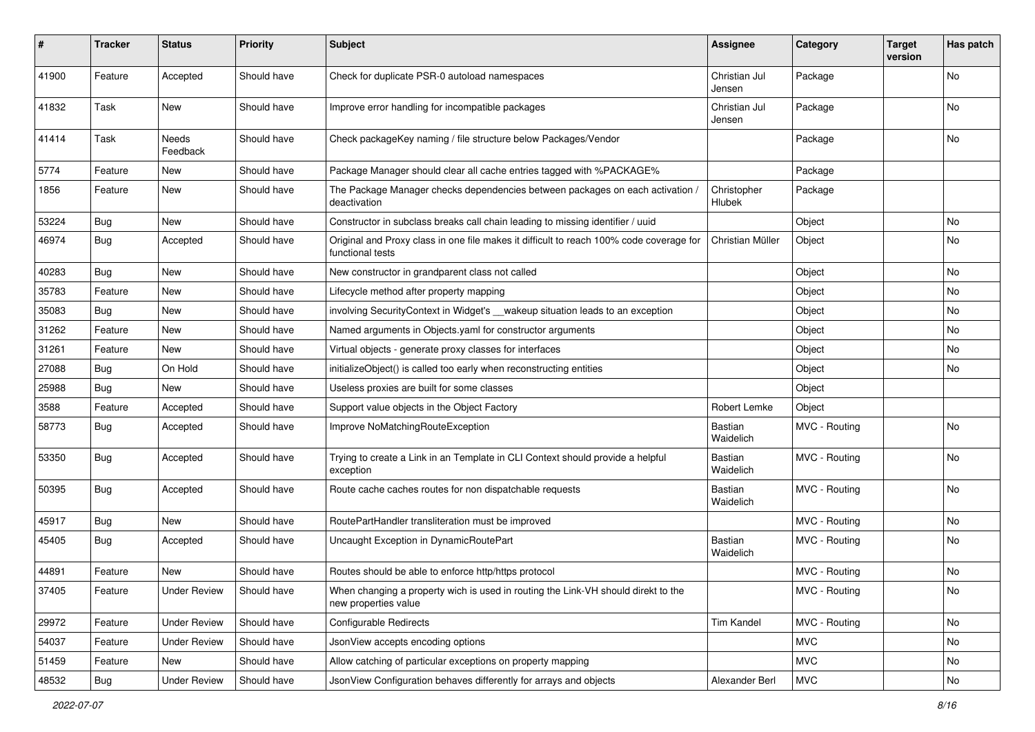| #     | <b>Tracker</b> | <b>Status</b>       | <b>Priority</b> | <b>Subject</b>                                                                                              | <b>Assignee</b>             | Category      | <b>Target</b><br>version | Has patch |
|-------|----------------|---------------------|-----------------|-------------------------------------------------------------------------------------------------------------|-----------------------------|---------------|--------------------------|-----------|
| 41900 | Feature        | Accepted            | Should have     | Check for duplicate PSR-0 autoload namespaces                                                               | Christian Jul<br>Jensen     | Package       |                          | No        |
| 41832 | Task           | New                 | Should have     | Improve error handling for incompatible packages                                                            | Christian Jul<br>Jensen     | Package       |                          | No        |
| 41414 | Task           | Needs<br>Feedback   | Should have     | Check packageKey naming / file structure below Packages/Vendor                                              |                             | Package       |                          | No        |
| 5774  | Feature        | New                 | Should have     | Package Manager should clear all cache entries tagged with %PACKAGE%                                        |                             | Package       |                          |           |
| 1856  | Feature        | New                 | Should have     | The Package Manager checks dependencies between packages on each activation /<br>deactivation               | Christopher<br>Hlubek       | Package       |                          |           |
| 53224 | <b>Bug</b>     | New                 | Should have     | Constructor in subclass breaks call chain leading to missing identifier / uuid                              |                             | Object        |                          | No        |
| 46974 | Bug            | Accepted            | Should have     | Original and Proxy class in one file makes it difficult to reach 100% code coverage for<br>functional tests | Christian Müller            | Object        |                          | No        |
| 40283 | <b>Bug</b>     | New                 | Should have     | New constructor in grandparent class not called                                                             |                             | Object        |                          | No.       |
| 35783 | Feature        | New                 | Should have     | Lifecycle method after property mapping                                                                     |                             | Object        |                          | No        |
| 35083 | <b>Bug</b>     | New                 | Should have     | involving SecurityContext in Widget's __wakeup situation leads to an exception                              |                             | Object        |                          | No        |
| 31262 | Feature        | New                 | Should have     | Named arguments in Objects yaml for constructor arguments                                                   |                             | Object        |                          | No        |
| 31261 | Feature        | New                 | Should have     | Virtual objects - generate proxy classes for interfaces                                                     |                             | Object        |                          | No        |
| 27088 | Bug            | On Hold             | Should have     | initializeObject() is called too early when reconstructing entities                                         |                             | Object        |                          | No        |
| 25988 | Bug            | New                 | Should have     | Useless proxies are built for some classes                                                                  |                             | Object        |                          |           |
| 3588  | Feature        | Accepted            | Should have     | Support value objects in the Object Factory                                                                 | Robert Lemke                | Object        |                          |           |
| 58773 | <b>Bug</b>     | Accepted            | Should have     | Improve NoMatchingRouteException                                                                            | Bastian<br>Waidelich        | MVC - Routing |                          | No        |
| 53350 | <b>Bug</b>     | Accepted            | Should have     | Trying to create a Link in an Template in CLI Context should provide a helpful<br>exception                 | <b>Bastian</b><br>Waidelich | MVC - Routing |                          | No        |
| 50395 | <b>Bug</b>     | Accepted            | Should have     | Route cache caches routes for non dispatchable requests                                                     | Bastian<br>Waidelich        | MVC - Routing |                          | <b>No</b> |
| 45917 | <b>Bug</b>     | New                 | Should have     | RoutePartHandler transliteration must be improved                                                           |                             | MVC - Routing |                          | No.       |
| 45405 | <b>Bug</b>     | Accepted            | Should have     | Uncaught Exception in DynamicRoutePart                                                                      | <b>Bastian</b><br>Waidelich | MVC - Routing |                          | No        |
| 44891 | Feature        | New                 | Should have     | Routes should be able to enforce http/https protocol                                                        |                             | MVC - Routing |                          | No        |
| 37405 | Feature        | Under Review        | Should have     | When changing a property wich is used in routing the Link-VH should direkt to the<br>new properties value   |                             | MVC - Routing |                          | No        |
| 29972 | Feature        | <b>Under Review</b> | Should have     | Configurable Redirects                                                                                      | <b>Tim Kandel</b>           | MVC - Routing |                          | No        |
| 54037 | Feature        | <b>Under Review</b> | Should have     | JsonView accepts encoding options                                                                           |                             | <b>MVC</b>    |                          | No        |
| 51459 | Feature        | New                 | Should have     | Allow catching of particular exceptions on property mapping                                                 |                             | <b>MVC</b>    |                          | No        |
| 48532 | <b>Bug</b>     | <b>Under Review</b> | Should have     | JsonView Configuration behaves differently for arrays and objects                                           | Alexander Berl              | <b>MVC</b>    |                          | No        |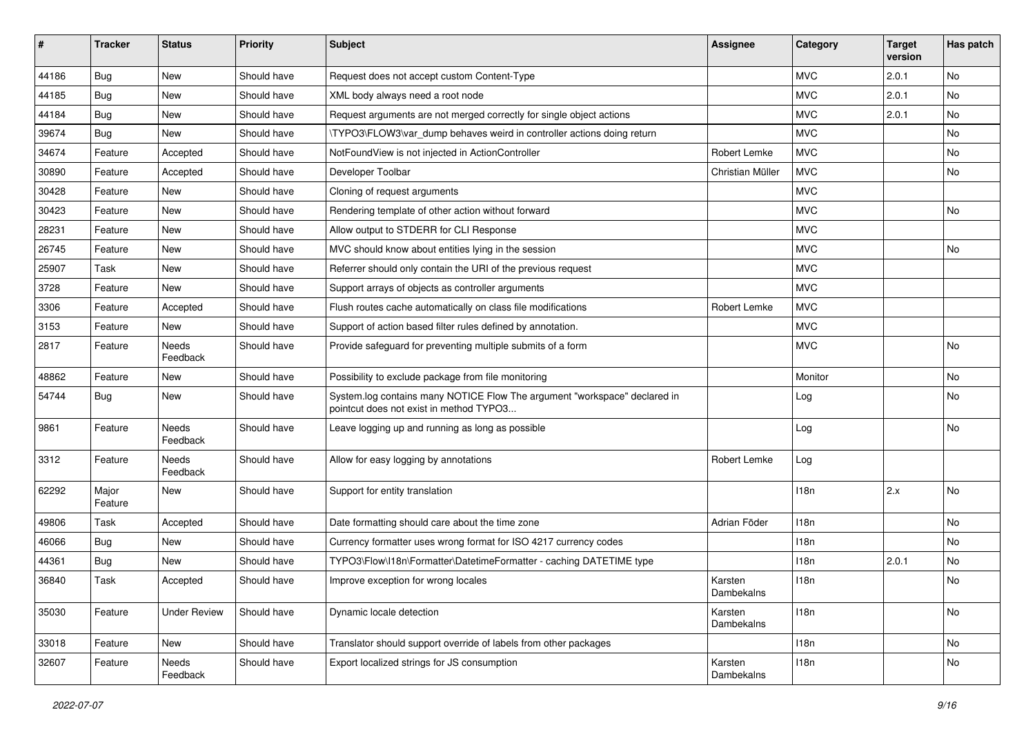| #     | <b>Tracker</b>   | <b>Status</b>            | <b>Priority</b> | <b>Subject</b>                                                                                                       | <b>Assignee</b>       | Category         | <b>Target</b><br>version | Has patch |
|-------|------------------|--------------------------|-----------------|----------------------------------------------------------------------------------------------------------------------|-----------------------|------------------|--------------------------|-----------|
| 44186 | Bug              | New                      | Should have     | Request does not accept custom Content-Type                                                                          |                       | <b>MVC</b>       | 2.0.1                    | No        |
| 44185 | Bug              | New                      | Should have     | XML body always need a root node                                                                                     |                       | <b>MVC</b>       | 2.0.1                    | No        |
| 44184 | Bug              | New                      | Should have     | Request arguments are not merged correctly for single object actions                                                 |                       | <b>MVC</b>       | 2.0.1                    | No        |
| 39674 | Bug              | New                      | Should have     | \TYPO3\FLOW3\var_dump behaves weird in controller actions doing return                                               |                       | <b>MVC</b>       |                          | No        |
| 34674 | Feature          | Accepted                 | Should have     | NotFoundView is not injected in ActionController                                                                     | Robert Lemke          | <b>MVC</b>       |                          | No        |
| 30890 | Feature          | Accepted                 | Should have     | Developer Toolbar                                                                                                    | Christian Müller      | <b>MVC</b>       |                          | <b>No</b> |
| 30428 | Feature          | New                      | Should have     | Cloning of request arguments                                                                                         |                       | <b>MVC</b>       |                          |           |
| 30423 | Feature          | New                      | Should have     | Rendering template of other action without forward                                                                   |                       | <b>MVC</b>       |                          | No        |
| 28231 | Feature          | New                      | Should have     | Allow output to STDERR for CLI Response                                                                              |                       | <b>MVC</b>       |                          |           |
| 26745 | Feature          | New                      | Should have     | MVC should know about entities lying in the session                                                                  |                       | <b>MVC</b>       |                          | No        |
| 25907 | Task             | New                      | Should have     | Referrer should only contain the URI of the previous request                                                         |                       | <b>MVC</b>       |                          |           |
| 3728  | Feature          | <b>New</b>               | Should have     | Support arrays of objects as controller arguments                                                                    |                       | <b>MVC</b>       |                          |           |
| 3306  | Feature          | Accepted                 | Should have     | Flush routes cache automatically on class file modifications                                                         | Robert Lemke          | <b>MVC</b>       |                          |           |
| 3153  | Feature          | New                      | Should have     | Support of action based filter rules defined by annotation.                                                          |                       | <b>MVC</b>       |                          |           |
| 2817  | Feature          | Needs<br>Feedback        | Should have     | Provide safeguard for preventing multiple submits of a form                                                          |                       | <b>MVC</b>       |                          | No        |
| 48862 | Feature          | New                      | Should have     | Possibility to exclude package from file monitoring                                                                  |                       | Monitor          |                          | No        |
| 54744 | Bug              | New                      | Should have     | System.log contains many NOTICE Flow The argument "workspace" declared in<br>pointcut does not exist in method TYPO3 |                       | Log              |                          | No        |
| 9861  | Feature          | Needs<br>Feedback        | Should have     | Leave logging up and running as long as possible                                                                     |                       | Log              |                          | No        |
| 3312  | Feature          | <b>Needs</b><br>Feedback | Should have     | Allow for easy logging by annotations                                                                                | Robert Lemke          | Log              |                          |           |
| 62292 | Major<br>Feature | New                      | Should have     | Support for entity translation                                                                                       |                       | 118n             | 2.x                      | No        |
| 49806 | Task             | Accepted                 | Should have     | Date formatting should care about the time zone                                                                      | Adrian Föder          | 118n             |                          | No        |
| 46066 | Bug              | New                      | Should have     | Currency formatter uses wrong format for ISO 4217 currency codes                                                     |                       | 118 <sub>n</sub> |                          | No        |
| 44361 | <b>Bug</b>       | New                      | Should have     | TYPO3\Flow\I18n\Formatter\DatetimeFormatter - caching DATETIME type                                                  |                       | 118n             | 2.0.1                    | No        |
| 36840 | Task             | Accepted                 | Should have     | Improve exception for wrong locales                                                                                  | Karsten<br>Dambekalns | 118n             |                          | No        |
| 35030 | Feature          | <b>Under Review</b>      | Should have     | Dynamic locale detection                                                                                             | Karsten<br>Dambekalns | 118n             |                          | No        |
| 33018 | Feature          | New                      | Should have     | Translator should support override of labels from other packages                                                     |                       | 118n             |                          | No        |
| 32607 | Feature          | Needs<br>Feedback        | Should have     | Export localized strings for JS consumption                                                                          | Karsten<br>Dambekalns | 118n             |                          | No        |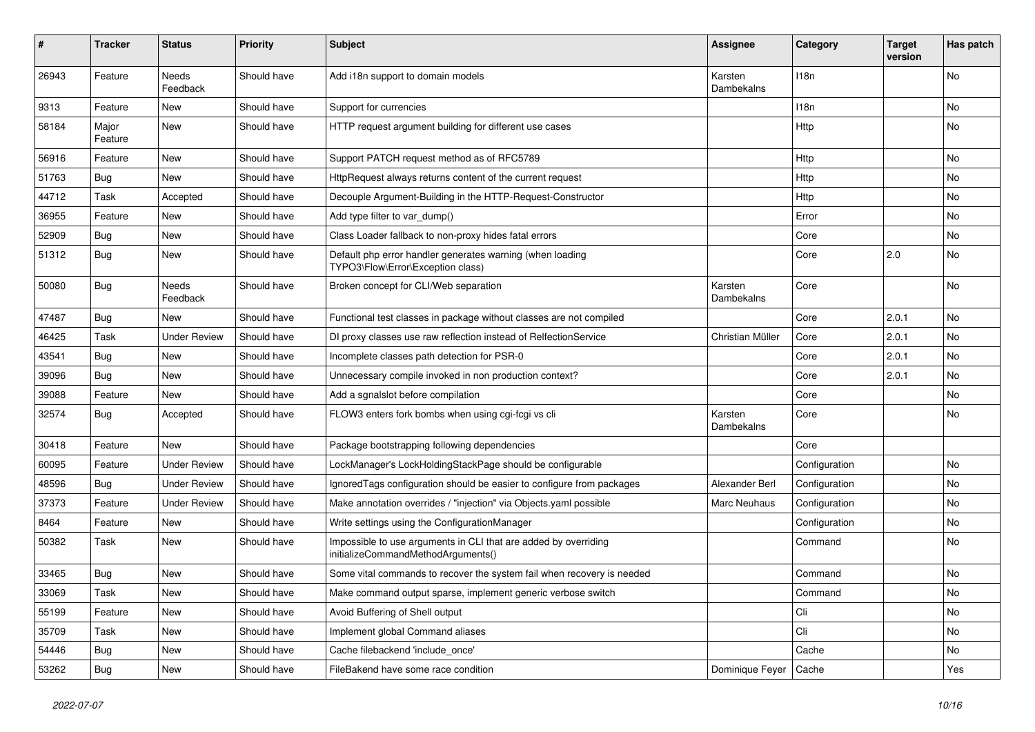| #     | <b>Tracker</b>   | <b>Status</b>       | <b>Priority</b> | <b>Subject</b>                                                                                        | Assignee              | Category      | <b>Target</b><br>version | Has patch |
|-------|------------------|---------------------|-----------------|-------------------------------------------------------------------------------------------------------|-----------------------|---------------|--------------------------|-----------|
| 26943 | Feature          | Needs<br>Feedback   | Should have     | Add i18n support to domain models                                                                     | Karsten<br>Dambekalns | 118n          |                          | No        |
| 9313  | Feature          | New                 | Should have     | Support for currencies                                                                                |                       | 118n          |                          | No        |
| 58184 | Major<br>Feature | <b>New</b>          | Should have     | HTTP request argument building for different use cases                                                |                       | Http          |                          | No        |
| 56916 | Feature          | <b>New</b>          | Should have     | Support PATCH request method as of RFC5789                                                            |                       | Http          |                          | No.       |
| 51763 | Bug              | New                 | Should have     | HttpRequest always returns content of the current request                                             |                       | Http          |                          | No        |
| 44712 | Task             | Accepted            | Should have     | Decouple Argument-Building in the HTTP-Request-Constructor                                            |                       | Http          |                          | No        |
| 36955 | Feature          | New                 | Should have     | Add type filter to var dump()                                                                         |                       | Error         |                          | No        |
| 52909 | <b>Bug</b>       | New                 | Should have     | Class Loader fallback to non-proxy hides fatal errors                                                 |                       | Core          |                          | No        |
| 51312 | Bug              | New                 | Should have     | Default php error handler generates warning (when loading<br>TYPO3\Flow\Error\Exception class)        |                       | Core          | 2.0                      | No        |
| 50080 | Bug              | Needs<br>Feedback   | Should have     | Broken concept for CLI/Web separation                                                                 | Karsten<br>Dambekalns | Core          |                          | No        |
| 47487 | <b>Bug</b>       | New                 | Should have     | Functional test classes in package without classes are not compiled                                   |                       | Core          | 2.0.1                    | No        |
| 46425 | Task             | <b>Under Review</b> | Should have     | DI proxy classes use raw reflection instead of RelfectionService                                      | Christian Müller      | Core          | 2.0.1                    | No.       |
| 43541 | Bug              | New                 | Should have     | Incomplete classes path detection for PSR-0                                                           |                       | Core          | 2.0.1                    | No        |
| 39096 | <b>Bug</b>       | New                 | Should have     | Unnecessary compile invoked in non production context?                                                |                       | Core          | 2.0.1                    | No        |
| 39088 | Feature          | New                 | Should have     | Add a sgnalslot before compilation                                                                    |                       | Core          |                          | No        |
| 32574 | <b>Bug</b>       | Accepted            | Should have     | FLOW3 enters fork bombs when using cgi-fcgi vs cli                                                    | Karsten<br>Dambekalns | Core          |                          | No        |
| 30418 | Feature          | New                 | Should have     | Package bootstrapping following dependencies                                                          |                       | Core          |                          |           |
| 60095 | Feature          | <b>Under Review</b> | Should have     | LockManager's LockHoldingStackPage should be configurable                                             |                       | Configuration |                          | No        |
| 48596 | <b>Bug</b>       | <b>Under Review</b> | Should have     | Ignored Tags configuration should be easier to configure from packages                                | Alexander Berl        | Configuration |                          | No.       |
| 37373 | Feature          | <b>Under Review</b> | Should have     | Make annotation overrides / "injection" via Objects.yaml possible                                     | <b>Marc Neuhaus</b>   | Configuration |                          | No        |
| 8464  | Feature          | New                 | Should have     | Write settings using the ConfigurationManager                                                         |                       | Configuration |                          | No        |
| 50382 | Task             | New                 | Should have     | Impossible to use arguments in CLI that are added by overriding<br>initializeCommandMethodArguments() |                       | Command       |                          | No.       |
| 33465 | <b>Bug</b>       | New                 | Should have     | Some vital commands to recover the system fail when recovery is needed                                |                       | Command       |                          | No        |
| 33069 | Task             | New                 | Should have     | Make command output sparse, implement generic verbose switch                                          |                       | Command       |                          | No        |
| 55199 | Feature          | New                 | Should have     | Avoid Buffering of Shell output                                                                       |                       | Cli           |                          | No        |
| 35709 | Task             | New                 | Should have     | Implement global Command aliases                                                                      |                       | Cli           |                          | No        |
| 54446 | Bug              | New                 | Should have     | Cache filebackend 'include_once'                                                                      |                       | Cache         |                          | No        |
| 53262 | <b>Bug</b>       | New                 | Should have     | FileBakend have some race condition                                                                   | Dominique Feyer       | Cache         |                          | Yes       |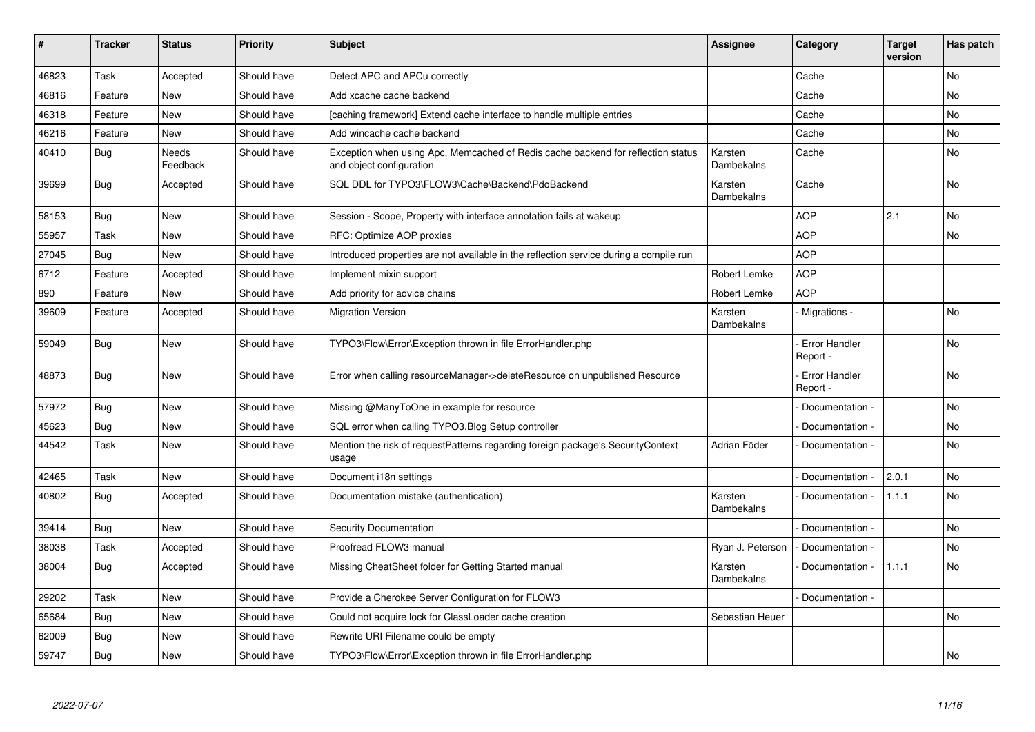| #     | <b>Tracker</b> | <b>Status</b>            | <b>Priority</b> | <b>Subject</b>                                                                                               | <b>Assignee</b>       | Category                         | <b>Target</b><br>version | Has patch      |
|-------|----------------|--------------------------|-----------------|--------------------------------------------------------------------------------------------------------------|-----------------------|----------------------------------|--------------------------|----------------|
| 46823 | Task           | Accepted                 | Should have     | Detect APC and APCu correctly                                                                                |                       | Cache                            |                          | N <sub>o</sub> |
| 46816 | Feature        | New                      | Should have     | Add xcache cache backend                                                                                     |                       | Cache                            |                          | <b>No</b>      |
| 46318 | Feature        | <b>New</b>               | Should have     | [caching framework] Extend cache interface to handle multiple entries                                        |                       | Cache                            |                          | <b>No</b>      |
| 46216 | Feature        | <b>New</b>               | Should have     | Add wincache cache backend                                                                                   |                       | Cache                            |                          | No             |
| 40410 | Bug            | <b>Needs</b><br>Feedback | Should have     | Exception when using Apc, Memcached of Redis cache backend for reflection status<br>and object configuration | Karsten<br>Dambekalns | Cache                            |                          | <b>No</b>      |
| 39699 | Bug            | Accepted                 | Should have     | SQL DDL for TYPO3\FLOW3\Cache\Backend\PdoBackend                                                             | Karsten<br>Dambekalns | Cache                            |                          | No             |
| 58153 | <b>Bug</b>     | <b>New</b>               | Should have     | Session - Scope, Property with interface annotation fails at wakeup                                          |                       | <b>AOP</b>                       | 2.1                      | No             |
| 55957 | Task           | <b>New</b>               | Should have     | RFC: Optimize AOP proxies                                                                                    |                       | <b>AOP</b>                       |                          | <b>No</b>      |
| 27045 | Bug            | <b>New</b>               | Should have     | Introduced properties are not available in the reflection service during a compile run                       |                       | <b>AOP</b>                       |                          |                |
| 6712  | Feature        | Accepted                 | Should have     | Implement mixin support                                                                                      | Robert Lemke          | <b>AOP</b>                       |                          |                |
| 890   | Feature        | New                      | Should have     | Add priority for advice chains                                                                               | Robert Lemke          | <b>AOP</b>                       |                          |                |
| 39609 | Feature        | Accepted                 | Should have     | <b>Migration Version</b>                                                                                     | Karsten<br>Dambekalns | - Migrations -                   |                          | <b>No</b>      |
| 59049 | <b>Bug</b>     | <b>New</b>               | Should have     | TYPO3\Flow\Error\Exception thrown in file ErrorHandler.php                                                   |                       | <b>Error Handler</b><br>Report - |                          | <b>No</b>      |
| 48873 | <b>Bug</b>     | <b>New</b>               | Should have     | Error when calling resourceManager->deleteResource on unpublished Resource                                   |                       | Error Handler<br>Report -        |                          | <b>No</b>      |
| 57972 | Bug            | <b>New</b>               | Should have     | Missing @ManyToOne in example for resource                                                                   |                       | Documentation -                  |                          | <b>No</b>      |
| 45623 | <b>Bug</b>     | <b>New</b>               | Should have     | SQL error when calling TYPO3. Blog Setup controller                                                          |                       | Documentation -                  |                          | No             |
| 44542 | Task           | <b>New</b>               | Should have     | Mention the risk of requestPatterns regarding foreign package's SecurityContext<br>usage                     | Adrian Föder          | Documentation -                  |                          | <b>No</b>      |
| 42465 | Task           | <b>New</b>               | Should have     | Document i18n settings                                                                                       |                       | Documentation -                  | 2.0.1                    | <b>No</b>      |
| 40802 | <b>Bug</b>     | Accepted                 | Should have     | Documentation mistake (authentication)                                                                       | Karsten<br>Dambekalns | Documentation -                  | 1.1.1                    | <b>No</b>      |
| 39414 | Bug            | <b>New</b>               | Should have     | <b>Security Documentation</b>                                                                                |                       | Documentation -                  |                          | <b>No</b>      |
| 38038 | Task           | Accepted                 | Should have     | Proofread FLOW3 manual                                                                                       | Ryan J. Peterson      | Documentation -                  |                          | <b>No</b>      |
| 38004 | <b>Bug</b>     | Accepted                 | Should have     | Missing CheatSheet folder for Getting Started manual                                                         | Karsten<br>Dambekalns | Documentation -                  | 1.1.1                    | <b>No</b>      |
| 29202 | Task           | <b>New</b>               | Should have     | Provide a Cherokee Server Configuration for FLOW3                                                            |                       | Documentation -                  |                          |                |
| 65684 | <b>Bug</b>     | <b>New</b>               | Should have     | Could not acquire lock for ClassLoader cache creation                                                        | Sebastian Heuer       |                                  |                          | <b>No</b>      |
| 62009 | Bug            | New                      | Should have     | Rewrite URI Filename could be empty                                                                          |                       |                                  |                          |                |
| 59747 | <b>Bug</b>     | <b>New</b>               | Should have     | TYPO3\Flow\Error\Exception thrown in file ErrorHandler.php                                                   |                       |                                  |                          | <b>No</b>      |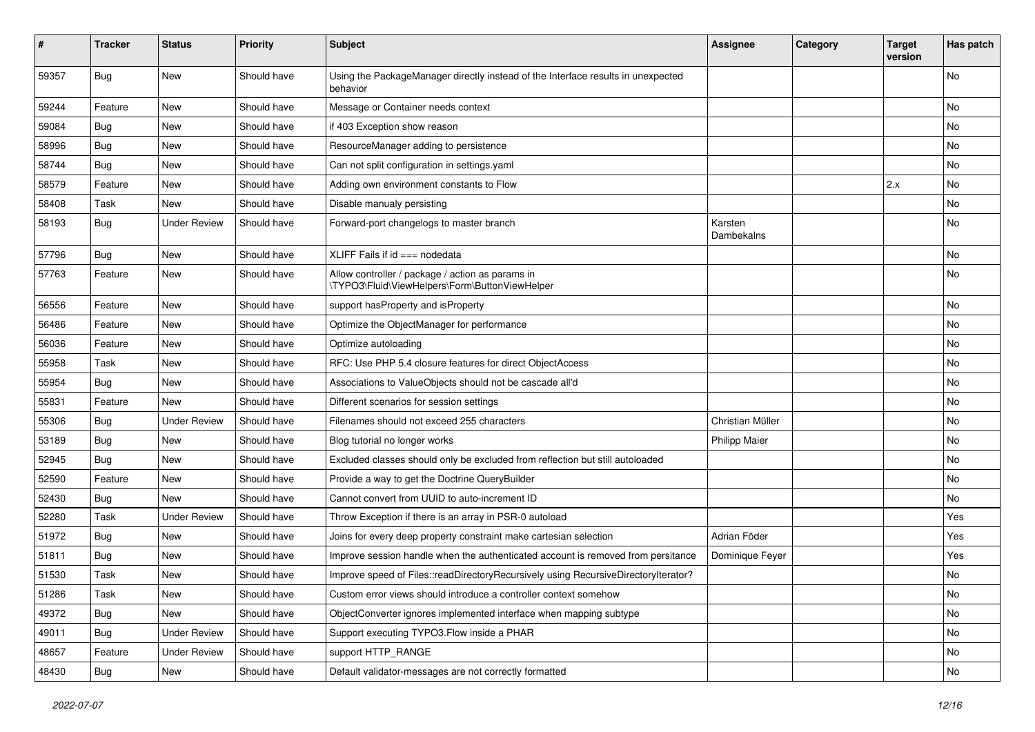| #     | <b>Tracker</b> | <b>Status</b>       | <b>Priority</b> | <b>Subject</b>                                                                                     | <b>Assignee</b>       | Category | <b>Target</b><br>version | Has patch |
|-------|----------------|---------------------|-----------------|----------------------------------------------------------------------------------------------------|-----------------------|----------|--------------------------|-----------|
| 59357 | Bug            | New                 | Should have     | Using the PackageManager directly instead of the Interface results in unexpected<br>behavior       |                       |          |                          | No        |
| 59244 | Feature        | New                 | Should have     | Message or Container needs context                                                                 |                       |          |                          | No        |
| 59084 | Bug            | <b>New</b>          | Should have     | if 403 Exception show reason                                                                       |                       |          |                          | No        |
| 58996 | <b>Bug</b>     | New                 | Should have     | ResourceManager adding to persistence                                                              |                       |          |                          | No        |
| 58744 | Bug            | <b>New</b>          | Should have     | Can not split configuration in settings.yaml                                                       |                       |          |                          | <b>No</b> |
| 58579 | Feature        | New                 | Should have     | Adding own environment constants to Flow                                                           |                       |          | 2.x                      | No        |
| 58408 | Task           | <b>New</b>          | Should have     | Disable manualy persisting                                                                         |                       |          |                          | No        |
| 58193 | Bug            | <b>Under Review</b> | Should have     | Forward-port changelogs to master branch                                                           | Karsten<br>Dambekalns |          |                          | No        |
| 57796 | <b>Bug</b>     | New                 | Should have     | XLIFF Fails if $id ==$ nodedata                                                                    |                       |          |                          | No        |
| 57763 | Feature        | New                 | Should have     | Allow controller / package / action as params in<br>\TYPO3\Fluid\ViewHelpers\Form\ButtonViewHelper |                       |          |                          | No        |
| 56556 | Feature        | <b>New</b>          | Should have     | support hasProperty and isProperty                                                                 |                       |          |                          | <b>No</b> |
| 56486 | Feature        | New                 | Should have     | Optimize the ObjectManager for performance                                                         |                       |          |                          | No        |
| 56036 | Feature        | New                 | Should have     | Optimize autoloading                                                                               |                       |          |                          | No        |
| 55958 | Task           | New                 | Should have     | RFC: Use PHP 5.4 closure features for direct ObjectAccess                                          |                       |          |                          | No        |
| 55954 | <b>Bug</b>     | <b>New</b>          | Should have     | Associations to ValueObjects should not be cascade all'd                                           |                       |          |                          | No        |
| 55831 | Feature        | New                 | Should have     | Different scenarios for session settings                                                           |                       |          |                          | No        |
| 55306 | Bug            | <b>Under Review</b> | Should have     | Filenames should not exceed 255 characters                                                         | Christian Müller      |          |                          | No        |
| 53189 | <b>Bug</b>     | New                 | Should have     | Blog tutorial no longer works                                                                      | <b>Philipp Maier</b>  |          |                          | No        |
| 52945 | Bug            | New                 | Should have     | Excluded classes should only be excluded from reflection but still autoloaded                      |                       |          |                          | No        |
| 52590 | Feature        | New                 | Should have     | Provide a way to get the Doctrine QueryBuilder                                                     |                       |          |                          | No        |
| 52430 | <b>Bug</b>     | New                 | Should have     | Cannot convert from UUID to auto-increment ID                                                      |                       |          |                          | No        |
| 52280 | Task           | <b>Under Review</b> | Should have     | Throw Exception if there is an array in PSR-0 autoload                                             |                       |          |                          | Yes       |
| 51972 | Bug            | New                 | Should have     | Joins for every deep property constraint make cartesian selection                                  | Adrian Föder          |          |                          | Yes       |
| 51811 | Bug            | New                 | Should have     | Improve session handle when the authenticated account is removed from persitance                   | Dominique Feyer       |          |                          | Yes       |
| 51530 | Task           | New                 | Should have     | Improve speed of Files::readDirectoryRecursively using RecursiveDirectoryIterator?                 |                       |          |                          | No        |
| 51286 | Task           | New                 | Should have     | Custom error views should introduce a controller context somehow                                   |                       |          |                          | No        |
| 49372 | <b>Bug</b>     | New                 | Should have     | ObjectConverter ignores implemented interface when mapping subtype                                 |                       |          |                          | No        |
| 49011 | <b>Bug</b>     | <b>Under Review</b> | Should have     | Support executing TYPO3. Flow inside a PHAR                                                        |                       |          |                          | No        |
| 48657 | Feature        | <b>Under Review</b> | Should have     | support HTTP_RANGE                                                                                 |                       |          |                          | No        |
| 48430 | <b>Bug</b>     | New                 | Should have     | Default validator-messages are not correctly formatted                                             |                       |          |                          | No        |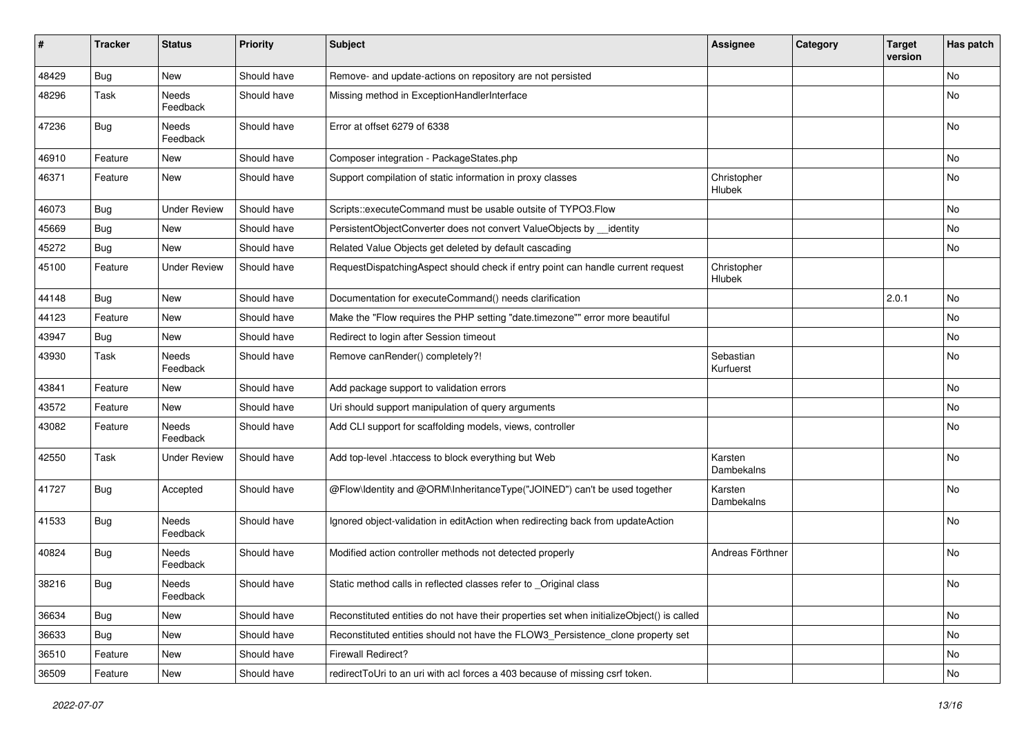| #     | <b>Tracker</b> | <b>Status</b>            | <b>Priority</b> | <b>Subject</b>                                                                            | <b>Assignee</b>        | Category | <b>Target</b><br>version | Has patch |
|-------|----------------|--------------------------|-----------------|-------------------------------------------------------------------------------------------|------------------------|----------|--------------------------|-----------|
| 48429 | Bug            | New                      | Should have     | Remove- and update-actions on repository are not persisted                                |                        |          |                          | <b>No</b> |
| 48296 | Task           | Needs<br>Feedback        | Should have     | Missing method in ExceptionHandlerInterface                                               |                        |          |                          | No        |
| 47236 | Bug            | Needs<br>Feedback        | Should have     | Error at offset 6279 of 6338                                                              |                        |          |                          | No        |
| 46910 | Feature        | New                      | Should have     | Composer integration - PackageStates.php                                                  |                        |          |                          | No        |
| 46371 | Feature        | New                      | Should have     | Support compilation of static information in proxy classes                                | Christopher<br>Hlubek  |          |                          | No        |
| 46073 | Bug            | <b>Under Review</b>      | Should have     | Scripts::executeCommand must be usable outsite of TYPO3.Flow                              |                        |          |                          | No        |
| 45669 | Bug            | New                      | Should have     | PersistentObjectConverter does not convert ValueObjects by __identity                     |                        |          |                          | No        |
| 45272 | Bug            | New                      | Should have     | Related Value Objects get deleted by default cascading                                    |                        |          |                          | No        |
| 45100 | Feature        | <b>Under Review</b>      | Should have     | RequestDispatchingAspect should check if entry point can handle current request           | Christopher<br>Hlubek  |          |                          |           |
| 44148 | <b>Bug</b>     | New                      | Should have     | Documentation for executeCommand() needs clarification                                    |                        |          | 2.0.1                    | No        |
| 44123 | Feature        | New                      | Should have     | Make the "Flow requires the PHP setting "date.timezone"" error more beautiful             |                        |          |                          | No        |
| 43947 | Bug            | New                      | Should have     | Redirect to login after Session timeout                                                   |                        |          |                          | No        |
| 43930 | Task           | Needs<br>Feedback        | Should have     | Remove canRender() completely?!                                                           | Sebastian<br>Kurfuerst |          |                          | No        |
| 43841 | Feature        | New                      | Should have     | Add package support to validation errors                                                  |                        |          |                          | No.       |
| 43572 | Feature        | New                      | Should have     | Uri should support manipulation of query arguments                                        |                        |          |                          | No        |
| 43082 | Feature        | Needs<br>Feedback        | Should have     | Add CLI support for scaffolding models, views, controller                                 |                        |          |                          | No        |
| 42550 | Task           | <b>Under Review</b>      | Should have     | Add top-level .htaccess to block everything but Web                                       | Karsten<br>Dambekalns  |          |                          | No        |
| 41727 | Bug            | Accepted                 | Should have     | @Flow\Identity and @ORM\InheritanceType("JOINED") can't be used together                  | Karsten<br>Dambekalns  |          |                          | No        |
| 41533 | Bug            | Needs<br>Feedback        | Should have     | Ignored object-validation in editAction when redirecting back from updateAction           |                        |          |                          | No        |
| 40824 | Bug            | Needs<br>Feedback        | Should have     | Modified action controller methods not detected properly                                  | Andreas Förthner       |          |                          | No        |
| 38216 | Bug            | <b>Needs</b><br>Feedback | Should have     | Static method calls in reflected classes refer to _Original class                         |                        |          |                          | No        |
| 36634 | Bug            | New                      | Should have     | Reconstituted entities do not have their properties set when initializeObject() is called |                        |          |                          | No        |
| 36633 | Bug            | New                      | Should have     | Reconstituted entities should not have the FLOW3 Persistence clone property set           |                        |          |                          | No        |
| 36510 | Feature        | New                      | Should have     | Firewall Redirect?                                                                        |                        |          |                          | No        |
| 36509 | Feature        | New                      | Should have     | redirectToUri to an uri with acl forces a 403 because of missing csrf token.              |                        |          |                          | No        |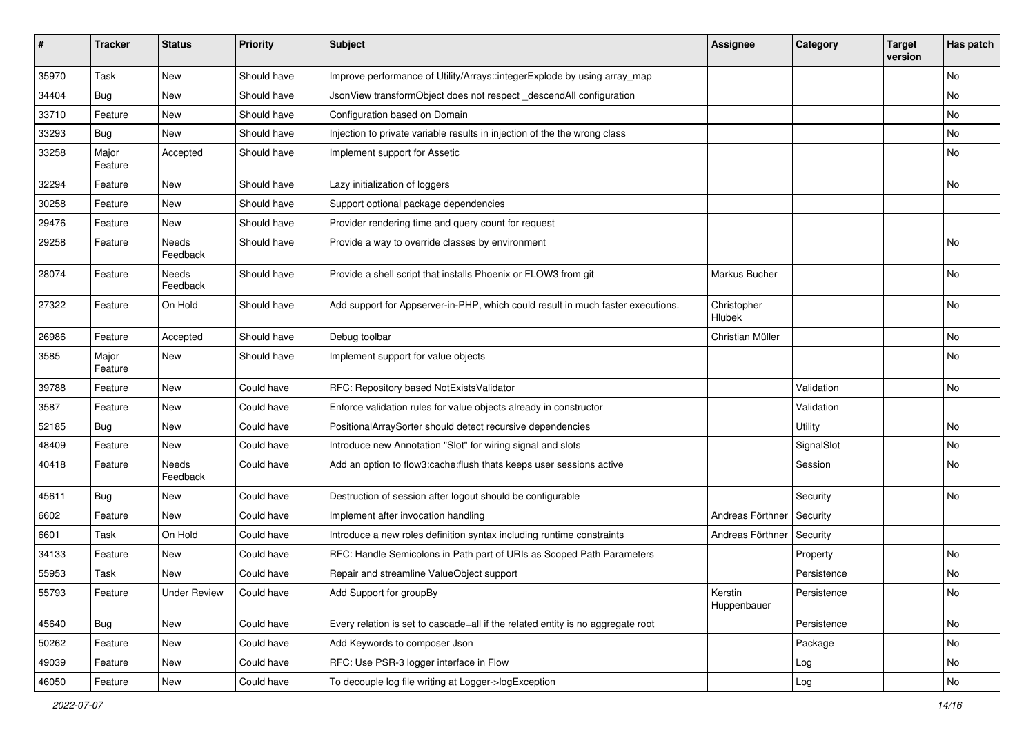| $\vert$ # | <b>Tracker</b>   | <b>Status</b>       | <b>Priority</b> | <b>Subject</b>                                                                  | <b>Assignee</b>        | Category    | <b>Target</b><br>version | Has patch |
|-----------|------------------|---------------------|-----------------|---------------------------------------------------------------------------------|------------------------|-------------|--------------------------|-----------|
| 35970     | Task             | New                 | Should have     | Improve performance of Utility/Arrays::integerExplode by using array_map        |                        |             |                          | No        |
| 34404     | Bug              | New                 | Should have     | JsonView transformObject does not respect _descendAll configuration             |                        |             |                          | No        |
| 33710     | Feature          | New                 | Should have     | Configuration based on Domain                                                   |                        |             |                          | No        |
| 33293     | Bug              | New                 | Should have     | Injection to private variable results in injection of the the wrong class       |                        |             |                          | No        |
| 33258     | Major<br>Feature | Accepted            | Should have     | Implement support for Assetic                                                   |                        |             |                          | No        |
| 32294     | Feature          | New                 | Should have     | Lazy initialization of loggers                                                  |                        |             |                          | No        |
| 30258     | Feature          | New                 | Should have     | Support optional package dependencies                                           |                        |             |                          |           |
| 29476     | Feature          | New                 | Should have     | Provider rendering time and query count for request                             |                        |             |                          |           |
| 29258     | Feature          | Needs<br>Feedback   | Should have     | Provide a way to override classes by environment                                |                        |             |                          | <b>No</b> |
| 28074     | Feature          | Needs<br>Feedback   | Should have     | Provide a shell script that installs Phoenix or FLOW3 from git                  | Markus Bucher          |             |                          | <b>No</b> |
| 27322     | Feature          | On Hold             | Should have     | Add support for Appserver-in-PHP, which could result in much faster executions. | Christopher<br>Hlubek  |             |                          | <b>No</b> |
| 26986     | Feature          | Accepted            | Should have     | Debug toolbar                                                                   | Christian Müller       |             |                          | No        |
| 3585      | Major<br>Feature | New                 | Should have     | Implement support for value objects                                             |                        |             |                          | No        |
| 39788     | Feature          | New                 | Could have      | RFC: Repository based NotExistsValidator                                        |                        | Validation  |                          | No        |
| 3587      | Feature          | New                 | Could have      | Enforce validation rules for value objects already in constructor               |                        | Validation  |                          |           |
| 52185     | <b>Bug</b>       | New                 | Could have      | PositionalArraySorter should detect recursive dependencies                      |                        | Utility     |                          | No        |
| 48409     | Feature          | New                 | Could have      | Introduce new Annotation "Slot" for wiring signal and slots                     |                        | SignalSlot  |                          | No        |
| 40418     | Feature          | Needs<br>Feedback   | Could have      | Add an option to flow3:cache:flush thats keeps user sessions active             |                        | Session     |                          | No        |
| 45611     | Bug              | New                 | Could have      | Destruction of session after logout should be configurable                      |                        | Security    |                          | <b>No</b> |
| 6602      | Feature          | New                 | Could have      | Implement after invocation handling                                             | Andreas Förthner       | Security    |                          |           |
| 6601      | Task             | On Hold             | Could have      | Introduce a new roles definition syntax including runtime constraints           | Andreas Förthner       | Security    |                          |           |
| 34133     | Feature          | New                 | Could have      | RFC: Handle Semicolons in Path part of URIs as Scoped Path Parameters           |                        | Property    |                          | <b>No</b> |
| 55953     | Task             | New                 | Could have      | Repair and streamline ValueObject support                                       |                        | Persistence |                          | No        |
| 55793     | Feature          | <b>Under Review</b> | Could have      | Add Support for groupBy                                                         | Kerstin<br>Huppenbauer | Persistence |                          | No        |
| 45640     | Bug              | New                 | Could have      | Every relation is set to cascade=all if the related entity is no aggregate root |                        | Persistence |                          | No        |
| 50262     | Feature          | New                 | Could have      | Add Keywords to composer Json                                                   |                        | Package     |                          | No        |
| 49039     | Feature          | New                 | Could have      | RFC: Use PSR-3 logger interface in Flow                                         |                        | Log         |                          | No        |
| 46050     | Feature          | New                 | Could have      | To decouple log file writing at Logger->logException                            |                        | Log         |                          | No        |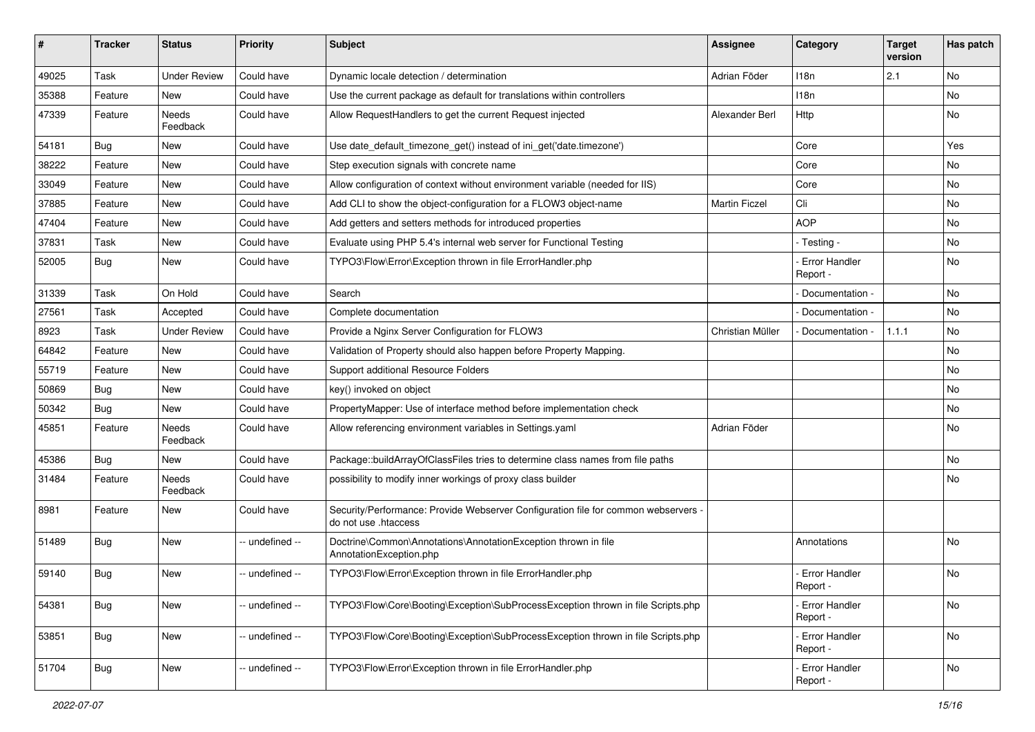| #     | <b>Tracker</b> | <b>Status</b>            | Priority        | <b>Subject</b>                                                                                             | <b>Assignee</b>  | Category                         | <b>Target</b><br>version | Has patch |
|-------|----------------|--------------------------|-----------------|------------------------------------------------------------------------------------------------------------|------------------|----------------------------------|--------------------------|-----------|
| 49025 | Task           | <b>Under Review</b>      | Could have      | Dynamic locale detection / determination                                                                   | Adrian Föder     | 118 <sub>n</sub>                 | 2.1                      | <b>No</b> |
| 35388 | Feature        | New                      | Could have      | Use the current package as default for translations within controllers                                     |                  | 118n                             |                          | No        |
| 47339 | Feature        | Needs<br>Feedback        | Could have      | Allow RequestHandlers to get the current Request injected                                                  | Alexander Berl   | Http                             |                          | No        |
| 54181 | Bug            | <b>New</b>               | Could have      | Use date_default_timezone_get() instead of ini_get('date.timezone')                                        |                  | Core                             |                          | Yes       |
| 38222 | Feature        | New                      | Could have      | Step execution signals with concrete name                                                                  |                  | Core                             |                          | No        |
| 33049 | Feature        | <b>New</b>               | Could have      | Allow configuration of context without environment variable (needed for IIS)                               |                  | Core                             |                          | No        |
| 37885 | Feature        | New                      | Could have      | Add CLI to show the object-configuration for a FLOW3 object-name                                           | Martin Ficzel    | Cli                              |                          | No        |
| 47404 | Feature        | New                      | Could have      | Add getters and setters methods for introduced properties                                                  |                  | <b>AOP</b>                       |                          | <b>No</b> |
| 37831 | Task           | New                      | Could have      | Evaluate using PHP 5.4's internal web server for Functional Testing                                        |                  | - Testing -                      |                          | No        |
| 52005 | <b>Bug</b>     | New                      | Could have      | TYPO3\Flow\Error\Exception thrown in file ErrorHandler.php                                                 |                  | Error Handler<br>Report -        |                          | No        |
| 31339 | Task           | On Hold                  | Could have      | Search                                                                                                     |                  | Documentation -                  |                          | <b>No</b> |
| 27561 | Task           | Accepted                 | Could have      | Complete documentation                                                                                     |                  | Documentation -                  |                          | No        |
| 8923  | Task           | <b>Under Review</b>      | Could have      | Provide a Nginx Server Configuration for FLOW3                                                             | Christian Müller | Documentation -                  | 1.1.1                    | No        |
| 64842 | Feature        | <b>New</b>               | Could have      | Validation of Property should also happen before Property Mapping.                                         |                  |                                  |                          | No        |
| 55719 | Feature        | New                      | Could have      | Support additional Resource Folders                                                                        |                  |                                  |                          | No        |
| 50869 | Bug            | New                      | Could have      | key() invoked on object                                                                                    |                  |                                  |                          | No        |
| 50342 | <b>Bug</b>     | New                      | Could have      | PropertyMapper: Use of interface method before implementation check                                        |                  |                                  |                          | No        |
| 45851 | Feature        | <b>Needs</b><br>Feedback | Could have      | Allow referencing environment variables in Settings.yaml                                                   | Adrian Föder     |                                  |                          | No        |
| 45386 | Bug            | New                      | Could have      | Package::buildArrayOfClassFiles tries to determine class names from file paths                             |                  |                                  |                          | <b>No</b> |
| 31484 | Feature        | Needs<br>Feedback        | Could have      | possibility to modify inner workings of proxy class builder                                                |                  |                                  |                          | No        |
| 8981  | Feature        | New                      | Could have      | Security/Performance: Provide Webserver Configuration file for common webservers -<br>do not use .htaccess |                  |                                  |                          |           |
| 51489 | Bug            | New                      | -- undefined -- | Doctrine\Common\Annotations\AnnotationException thrown in file<br>AnnotationException.php                  |                  | Annotations                      |                          | <b>No</b> |
| 59140 | <b>Bug</b>     | New                      | - undefined --  | TYPO3\Flow\Error\Exception thrown in file ErrorHandler.php                                                 |                  | <b>Error Handler</b><br>Report - |                          | No        |
| 54381 | <b>Bug</b>     | New                      | - undefined --  | TYPO3\Flow\Core\Booting\Exception\SubProcessException thrown in file Scripts.php                           |                  | - Error Handler<br>Report -      |                          | No        |
| 53851 | <b>Bug</b>     | New                      | - undefined --  | TYPO3\Flow\Core\Booting\Exception\SubProcessException thrown in file Scripts.php                           |                  | Error Handler<br>Report -        |                          | No        |
| 51704 | Bug            | New                      | undefined --    | TYPO3\Flow\Error\Exception thrown in file ErrorHandler.php                                                 |                  | - Error Handler<br>Report -      |                          | No        |